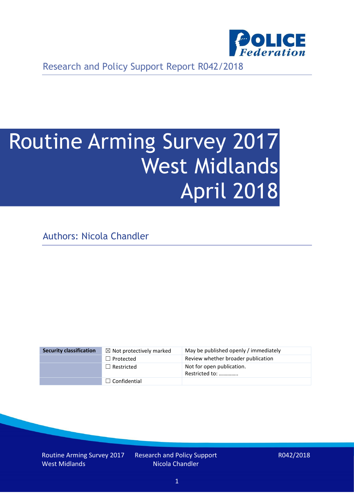

Research and Policy Support Report R042/2018

# Routine Arming Survey 2017 West Midlands April 2018

Authors: Nicola Chandler

| <b>Security classification</b> | $\boxtimes$ Not protectively marked | May be published openly / immediately       |
|--------------------------------|-------------------------------------|---------------------------------------------|
|                                | $\Box$ Protected                    | Review whether broader publication          |
|                                | $\Box$ Restricted                   | Not for open publication.<br>Restricted to: |
|                                | $\Box$ Confidential                 |                                             |

Routine Arming Survey 2017 West Midlands

Research and Policy Support Nicola Chandler

R042/2018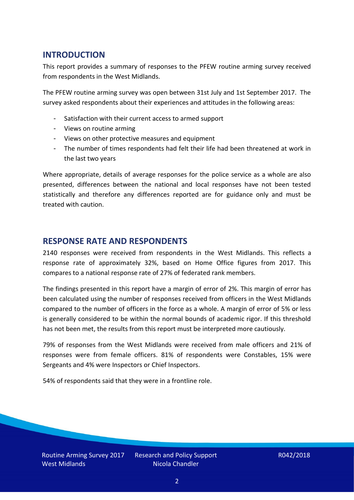## **INTRODUCTION**

This report provides a summary of responses to the PFEW routine arming survey received from respondents in the West Midlands.

The PFEW routine arming survey was open between 31st July and 1st September 2017. The survey asked respondents about their experiences and attitudes in the following areas:

- Satisfaction with their current access to armed support
- Views on routine arming
- Views on other protective measures and equipment
- The number of times respondents had felt their life had been threatened at work in the last two years

Where appropriate, details of average responses for the police service as a whole are also presented, differences between the national and local responses have not been tested statistically and therefore any differences reported are for guidance only and must be treated with caution.

### **RESPONSE RATE AND RESPONDENTS**

2140 responses were received from respondents in the West Midlands. This reflects a response rate of approximately 32%, based on Home Office figures from 2017. This compares to a national response rate of 27% of federated rank members.

The findings presented in this report have a margin of error of 2%. This margin of error has been calculated using the number of responses received from officers in the West Midlands compared to the number of officers in the force as a whole. A margin of error of 5% or less is generally considered to be within the normal bounds of academic rigor. If this threshold has not been met, the results from this report must be interpreted more cautiously.

79% of responses from the West Midlands were received from male officers and 21% of responses were from female officers. 81% of respondents were Constables, 15% were Sergeants and 4% were Inspectors or Chief Inspectors.

54% of respondents said that they were in a frontline role.

Routine Arming Survey 2017 West Midlands

Research and Policy Support Nicola Chandler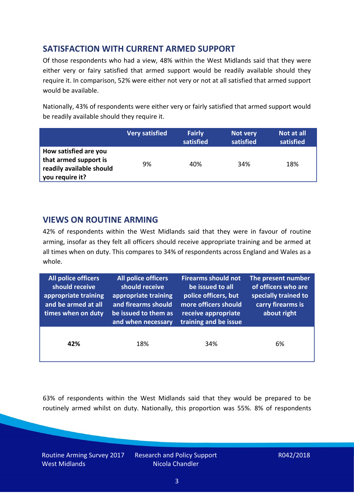## **SATISFACTION WITH CURRENT ARMED SUPPORT**

Of those respondents who had a view, 48% within the West Midlands said that they were either very or fairy satisfied that armed support would be readily available should they require it. In comparison, 52% were either not very or not at all satisfied that armed support would be available.

Nationally, 43% of respondents were either very or fairly satisfied that armed support would be readily available should they require it.

|                                                                                               | <b>Very satisfied</b> | <b>Fairly</b><br>satisfied | Not very<br>satisfied | Not at all<br>satisfied |
|-----------------------------------------------------------------------------------------------|-----------------------|----------------------------|-----------------------|-------------------------|
| How satisfied are you<br>that armed support is<br>readily available should<br>you require it? | 9%                    | 40%                        | 34%                   | 18%                     |

## **VIEWS ON ROUTINE ARMING**

42% of respondents within the West Midlands said that they were in favour of routine arming, insofar as they felt all officers should receive appropriate training and be armed at all times when on duty. This compares to 34% of respondents across England and Wales as a whole.

| All police officers<br>should receive<br>appropriate training<br>and be armed at all<br>times when on duty | <b>All police officers</b><br>should receive<br>appropriate training<br>and firearms should<br>be issued to them as<br>and when necessary | <b>Firearms should not</b><br>be issued to all<br>police officers, but<br>more officers should<br>receive appropriate<br>training and be issue | The present number<br>of officers who are<br>specially trained to<br>carry firearms is<br>about right |  |
|------------------------------------------------------------------------------------------------------------|-------------------------------------------------------------------------------------------------------------------------------------------|------------------------------------------------------------------------------------------------------------------------------------------------|-------------------------------------------------------------------------------------------------------|--|
| 42%                                                                                                        | 18%                                                                                                                                       | 34%                                                                                                                                            | 6%                                                                                                    |  |

63% of respondents within the West Midlands said that they would be prepared to be routinely armed whilst on duty. Nationally, this proportion was 55%. 8% of respondents

Routine Arming Survey 2017 West Midlands

Research and Policy Support Nicola Chandler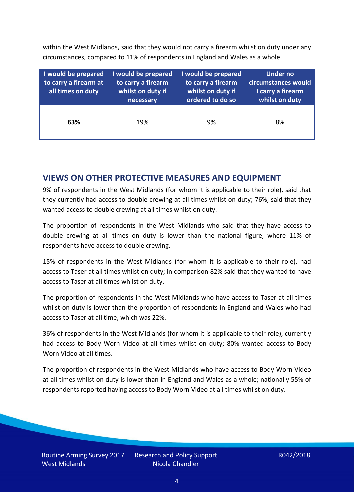within the West Midlands, said that they would not carry a firearm whilst on duty under any circumstances, compared to 11% of respondents in England and Wales as a whole.

| I would be prepared<br>to carry a firearm at<br>all times on duty | I would be prepared<br>to carry a firearm<br>whilst on duty if<br>necessary | I would be prepared<br>to carry a firearm<br>whilst on duty if<br>ordered to do so | Under no<br>circumstances would<br>I carry a firearm<br>whilst on duty |
|-------------------------------------------------------------------|-----------------------------------------------------------------------------|------------------------------------------------------------------------------------|------------------------------------------------------------------------|
| 63%                                                               | 19%                                                                         | 9%                                                                                 | 8%                                                                     |

## **VIEWS ON OTHER PROTECTIVE MEASURES AND EQUIPMENT**

9% of respondents in the West Midlands (for whom it is applicable to their role), said that they currently had access to double crewing at all times whilst on duty; 76%, said that they wanted access to double crewing at all times whilst on duty.

The proportion of respondents in the West Midlands who said that they have access to double crewing at all times on duty is lower than the national figure, where 11% of respondents have access to double crewing.

15% of respondents in the West Midlands (for whom it is applicable to their role), had access to Taser at all times whilst on duty; in comparison 82% said that they wanted to have access to Taser at all times whilst on duty.

The proportion of respondents in the West Midlands who have access to Taser at all times whilst on duty is lower than the proportion of respondents in England and Wales who had access to Taser at all time, which was 22%.

36% of respondents in the West Midlands (for whom it is applicable to their role), currently had access to Body Worn Video at all times whilst on duty; 80% wanted access to Body Worn Video at all times.

The proportion of respondents in the West Midlands who have access to Body Worn Video at all times whilst on duty is lower than in England and Wales as a whole; nationally 55% of respondents reported having access to Body Worn Video at all times whilst on duty.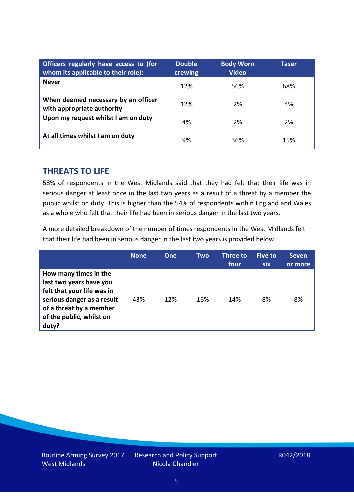| Officers regularly have access to (for<br>whom its applicable to their role): | <b>Double</b><br>crewing | <b>Body Worn</b><br><b>Video</b> | Taser |
|-------------------------------------------------------------------------------|--------------------------|----------------------------------|-------|
| <b>Never</b>                                                                  | 12%                      | 56%                              | 68%   |
| When deemed necessary by an officer<br>with appropriate authority             | 12%                      | 2%                               | 4%    |
| Upon my request whilst I am on duty                                           | 4%                       | 2%                               | 2%    |
| At all times whilst I am on duty                                              | 9%                       | 36%                              | 15%   |

### **THREATS TO LIFE**

58% of respondents in the West Midlands said that they had felt that their life was in serious danger at least once in the last two years as a result of a threat by a member the public whilst on duty. This is higher than the 54% of respondents within England and Wales as a whole who felt that their life had been in serious danger in the last two years.

A more detailed breakdown of the number of times respondents in the West Midlands felt that their life had been in serious danger in the last two years is provided below.

|                                                                                                                                                                              | <b>None</b> | One | Two | Three to<br>four | Five to<br><b>six</b> | <b>Seven</b><br>or more |
|------------------------------------------------------------------------------------------------------------------------------------------------------------------------------|-------------|-----|-----|------------------|-----------------------|-------------------------|
| How many times in the<br>last two years have you<br>felt that your life was in<br>serious danger as a result<br>of a threat by a member<br>of the public, whilst on<br>duty? | 43%         | 12% | 16% | 14%              | 8%                    | 8%                      |

Research and Policy Support Nicola Chandler